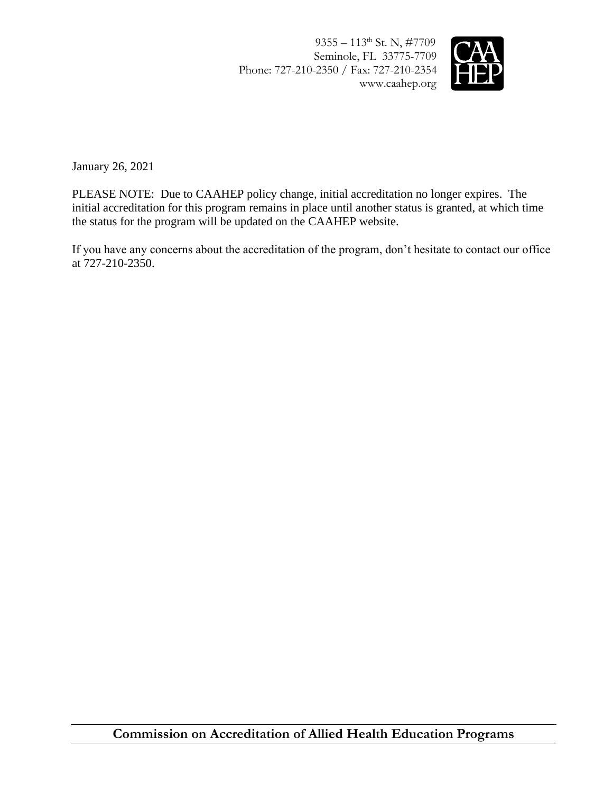9355 – 113<sup>th</sup> St. N, #7709 Seminole, FL 33775-7709 Phone: 727-210-2350 / Fax: 727-210-2354 www.caahep.org



January 26, 2021

PLEASE NOTE: Due to CAAHEP policy change, initial accreditation no longer expires. The initial accreditation for this program remains in place until another status is granted, at which time the status for the program will be updated on the CAAHEP website.

If you have any concerns about the accreditation of the program, don't hesitate to contact our office at 727-210-2350.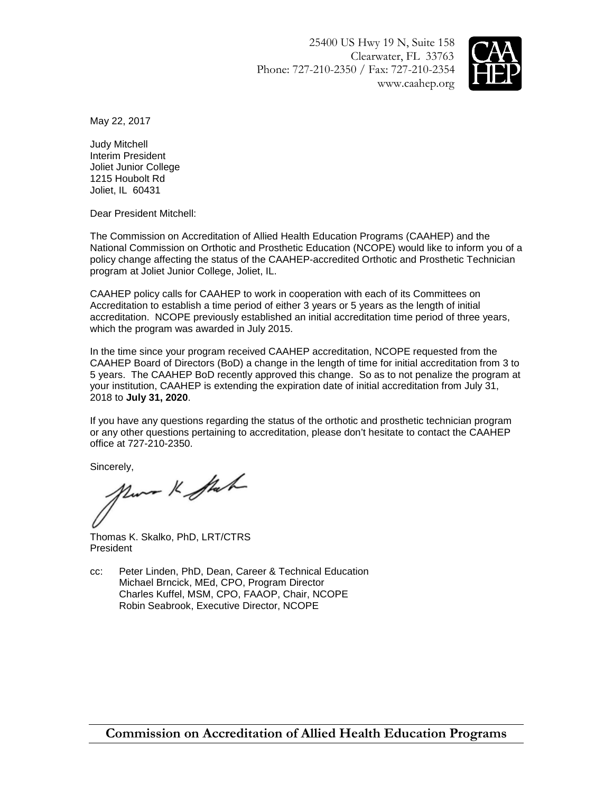25400 US Hwy 19 N, Suite 158 Clearwater, FL 33763 Phone: 727-210-2350 / Fax: 727-210-2354 www.caahep.org



May 22, 2017

Judy Mitchell Interim President Joliet Junior College 1215 Houbolt Rd Joliet, IL 60431

Dear President Mitchell:

The Commission on Accreditation of Allied Health Education Programs (CAAHEP) and the National Commission on Orthotic and Prosthetic Education (NCOPE) would like to inform you of a policy change affecting the status of the CAAHEP-accredited Orthotic and Prosthetic Technician program at Joliet Junior College, Joliet, IL.

CAAHEP policy calls for CAAHEP to work in cooperation with each of its Committees on Accreditation to establish a time period of either 3 years or 5 years as the length of initial accreditation. NCOPE previously established an initial accreditation time period of three years, which the program was awarded in July 2015.

In the time since your program received CAAHEP accreditation, NCOPE requested from the CAAHEP Board of Directors (BoD) a change in the length of time for initial accreditation from 3 to 5 years. The CAAHEP BoD recently approved this change. So as to not penalize the program at your institution, CAAHEP is extending the expiration date of initial accreditation from July 31, 2018 to **July 31, 2020**.

If you have any questions regarding the status of the orthotic and prosthetic technician program or any other questions pertaining to accreditation, please don't hesitate to contact the CAAHEP office at 727-210-2350.

Sincerely,<br>More K Stak

Thomas K. Skalko, PhD, LRT/CTRS **President** 

cc: Peter Linden, PhD, Dean, Career & Technical Education Michael Brncick, MEd, CPO, Program Director Charles Kuffel, MSM, CPO, FAAOP, Chair, NCOPE Robin Seabrook, Executive Director, NCOPE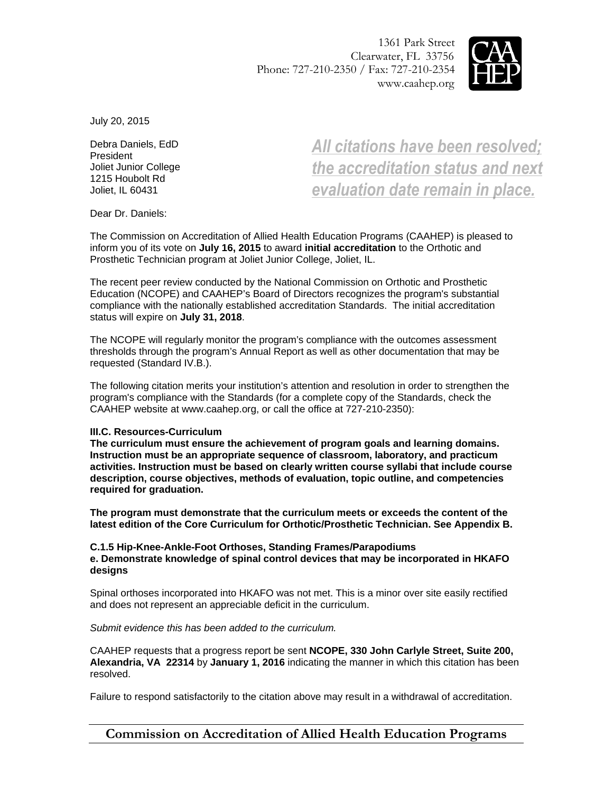1361 Park Street Clearwater, FL 33756 Phone: 727-210-2350 / Fax: 727-210-2354 www.caahep.org



July 20, 2015

Debra Daniels, EdD President Joliet Junior College 1215 Houbolt Rd Joliet, IL 60431

*All citations have been resolved; the accreditation status and next evaluation date remain in place.*

Dear Dr. Daniels:

The Commission on Accreditation of Allied Health Education Programs (CAAHEP) is pleased to inform you of its vote on **July 16, 2015** to award **initial accreditation** to the Orthotic and Prosthetic Technician program at Joliet Junior College, Joliet, IL.

The recent peer review conducted by the National Commission on Orthotic and Prosthetic Education (NCOPE) and CAAHEP's Board of Directors recognizes the program's substantial compliance with the nationally established accreditation Standards. The initial accreditation status will expire on **July 31, 2018**.

The NCOPE will regularly monitor the program's compliance with the outcomes assessment thresholds through the program's Annual Report as well as other documentation that may be requested (Standard IV.B.).

The following citation merits your institution's attention and resolution in order to strengthen the program's compliance with the Standards (for a complete copy of the Standards, check the CAAHEP website at www.caahep.org, or call the office at 727-210-2350):

## **III.C. Resources-Curriculum**

**The curriculum must ensure the achievement of program goals and learning domains. Instruction must be an appropriate sequence of classroom, laboratory, and practicum activities. Instruction must be based on clearly written course syllabi that include course description, course objectives, methods of evaluation, topic outline, and competencies required for graduation.** 

**The program must demonstrate that the curriculum meets or exceeds the content of the latest edition of the Core Curriculum for Orthotic/Prosthetic Technician. See Appendix B.**

## **C.1.5 Hip-Knee-Ankle-Foot Orthoses, Standing Frames/Parapodiums e. Demonstrate knowledge of spinal control devices that may be incorporated in HKAFO designs**

Spinal orthoses incorporated into HKAFO was not met. This is a minor over site easily rectified and does not represent an appreciable deficit in the curriculum.

## *Submit evidence this has been added to the curriculum.*

CAAHEP requests that a progress report be sent **NCOPE, 330 John Carlyle Street, Suite 200, Alexandria, VA 22314** by **January 1, 2016** indicating the manner in which this citation has been resolved.

Failure to respond satisfactorily to the citation above may result in a withdrawal of accreditation.